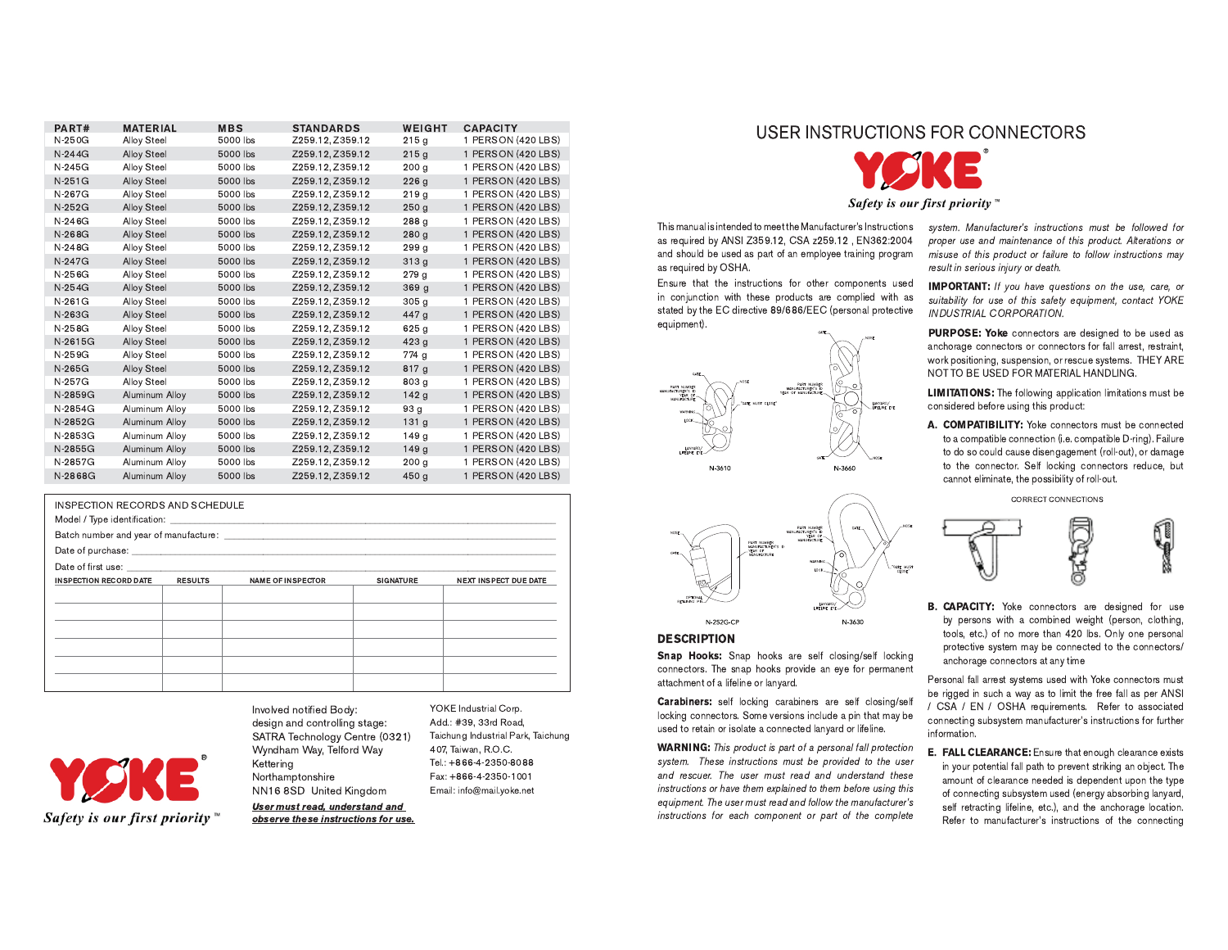| PART#    | <b>MATERIAL</b>       | <b>MBS</b> | <b>STANDARDS</b> | WEIGHT           | <b>CAPACITY</b>    |
|----------|-----------------------|------------|------------------|------------------|--------------------|
| N-250G   | <b>Alloy Steel</b>    | 5000 lbs   | Z259.12, Z359.12 | 215g             | 1 PERSON (420 LBS) |
| $N-244G$ | <b>Alloy Steel</b>    | 5000 lbs   | Z259.12, Z359.12 | 215q             | 1 PERSON (420 LBS) |
| N-245G   | <b>Alloy Steel</b>    | 5000 lbs   | Z259.12, Z359.12 | 200 <sub>q</sub> | 1 PERSON (420 LBS) |
| $N-251G$ | <b>Alloy Steel</b>    | 5000 lbs   | Z259.12, Z359.12 | 226q             | 1 PERSON (420 LBS) |
| N-267G   | <b>Alloy Steel</b>    | 5000 lbs   | Z259.12, Z359.12 | 219q             | 1 PERSON (420 LBS) |
| $N-252G$ | <b>Alloy Steel</b>    | 5000 lbs   | Z259.12, Z359.12 | 250q             | 1 PERSON (420 LBS) |
| $N-246G$ | <b>Alloy Steel</b>    | 5000 lbs   | Z259.12, Z359.12 | 288 g            | 1 PERSON (420 LBS) |
| N-268G   | <b>Alloy Steel</b>    | 5000 lbs   | Z259.12, Z359.12 | 280q             | 1 PERSON (420 LBS) |
| N-248G   | <b>Alloy Steel</b>    | 5000 lbs   | Z259.12, Z359.12 | 299 g            | 1 PERSON (420 LBS) |
| N-247G   | <b>Alloy Steel</b>    | 5000 lbs   | Z259.12, Z359.12 | 313q             | 1 PERSON (420 LBS) |
| $N-256G$ | <b>Alloy Steel</b>    | 5000 lbs   | Z259.12, Z359.12 | 279q             | 1 PERSON (420 LBS) |
| $N-254G$ | <b>Alloy Steel</b>    | 5000 lbs   | Z259.12, Z359.12 | 369 <sub>g</sub> | 1 PERSON (420 LBS) |
| N-261G   | <b>Alloy Steel</b>    | 5000 lbs   | Z259.12, Z359.12 | 305 <sub>q</sub> | 1 PERSON (420 LBS) |
| N-263G   | <b>Alloy Steel</b>    | 5000 lbs   | Z259.12, Z359.12 | 447 g            | 1 PERSON (420 LBS) |
| N-258G   | <b>Alloy Steel</b>    | 5000 lbs   | Z259.12, Z359.12 | 625 <sub>g</sub> | 1 PERSON (420 LBS) |
| N-2615G  | <b>Alloy Steel</b>    | 5000 lbs   | Z259.12, Z359.12 | 423 <sub>g</sub> | 1 PERSON (420 LBS) |
| $N-259G$ | <b>Alloy Steel</b>    | 5000 lbs   | Z259.12, Z359.12 | 774 g            | 1 PERSON (420 LBS) |
| N-265G   | <b>Alloy Steel</b>    | 5000 lbs   | Z259.12, Z359.12 | 817 <sub>g</sub> | 1 PERSON (420 LBS) |
| N-257G   | <b>Alloy Steel</b>    | 5000 lbs   | Z259.12, Z359.12 | 803 g            | 1 PERSON (420 LBS) |
| N-2859G  | <b>Aluminum Alloy</b> | 5000 lbs   | Z259.12, Z359.12 | 142 <sub>g</sub> | 1 PERSON (420 LBS) |
| N-2854G  | Aluminum Alloy        | 5000 lbs   | Z259.12, Z359.12 | 93 <sub>g</sub>  | 1 PERSON (420 LBS) |
| N-2852G  | Aluminum Alloy        | 5000 lbs   | Z259.12, Z359.12 | 131 <sub>q</sub> | 1 PERSON (420 LBS) |
| N-2853G  | Aluminum Alloy        | 5000 lbs   | Z259.12, Z359.12 | 149 <sub>g</sub> | 1 PERSON (420 LBS) |
| N-2855G  | Aluminum Alloy        | 5000 lbs   | Z259.12, Z359.12 | 149q             | 1 PERSON (420 LBS) |
| N-2857G  | Aluminum Alloy        | 5000 lbs   | Z259.12, Z359.12 | 200 <sub>q</sub> | 1 PERSON (420 LBS) |
| N-2868G  | Aluminum Alloy        | 5000 lbs   | Z259.12. Z359.12 | 450 a            | 1 PERSON (420 LBS) |

| INSPECTION RECORDS AND SCHEDULE |                |                                                                                                                                                                                                                                |                  |                              |
|---------------------------------|----------------|--------------------------------------------------------------------------------------------------------------------------------------------------------------------------------------------------------------------------------|------------------|------------------------------|
|                                 |                | Batch number and year of manufacture: example and state of the state of the state of the state of the state of the state of the state of the state of the state of the state of the state of the state of the state of the sta |                  |                              |
|                                 |                |                                                                                                                                                                                                                                |                  |                              |
|                                 |                |                                                                                                                                                                                                                                |                  |                              |
| <b>INSPECTION RECORD DATE</b>   | <b>RESULTS</b> | <b>NAME OF INSPECTOR</b>                                                                                                                                                                                                       | <b>SIGNATURE</b> | <b>NEXT INSPECT DUE DATE</b> |
|                                 |                |                                                                                                                                                                                                                                |                  |                              |
|                                 |                |                                                                                                                                                                                                                                |                  |                              |
|                                 |                |                                                                                                                                                                                                                                |                  |                              |
|                                 |                |                                                                                                                                                                                                                                |                  |                              |
|                                 |                |                                                                                                                                                                                                                                |                  |                              |
|                                 |                |                                                                                                                                                                                                                                |                  |                              |

Kettering Northamptonshire Safety is our first priority  $\mathbb{R}$ 

Involved notified Body: design and controlling stage: SATRA Technology Centre (0321) Wyndham Way, Telford Way NN16 8SD United Kingdom User must read, understand and

observe these instructions for use.

YOKE Industrial Corp. Add.: #39, 33rd Road. Taichung Industrial Park, Taichung 407, Taiwan, R.O.C. Tel.: +866-4-2350-8088 Fax: +866-4-2350-1001 Email: info@mail.yoke.net

USER INSTRUCTIONS FOR CONNECTORS



Safety is our first priority

This manual is intended to meet the Manufacturer's Instructions as required by ANSI Z359.12, CSA z259.12, EN362:2004 and should be used as part of an employee training program as required by OSHA.

Ensure that the instructions for other components used in conjunction with these products are complied with as stated by the EC directive 89/686/EEC (personal protective equipment).



system. Manufacturer's instructions must be followed for proper use and maintenance of this product. Alterations or misuse of this product or failure to follow instructions may result in serious injury or death.

**IMPORTANT:** If you have questions on the use, care, or suitability for use of this safety equipment, contact YOKE INDUSTRIAL CORPORATION.

PURPOSE: Yoke connectors are designed to be used as anchorage connectors or connectors for fall arrest, restraint, work positioning, suspension, or rescue systems. THEY ARE NOT TO BE USED FOR MATERIAL HANDLING.

**LIMITATIONS:** The following application limitations must be considered before using this product:

A. COMPATIBILITY: Yoke connectors must be connected to a compatible connection (i.e. compatible D-ring). Failure to do so could cause disengagement (roll-out), or damage to the connector. Self locking connectors reduce, but cannot eliminate, the possibility of roll-out.

CORRECT CONNECTIONS



B. CAPACITY: Yoke connectors are designed for use by persons with a combined weight (person, clothing, tools, etc.) of no more than 420 lbs. Only one personal protective system may be connected to the connectors/ anchorage connectors at any time

Personal fall arrest systems used with Yoke connectors must be rigged in such a way as to limit the free fall as per ANSI / CSA / EN / OSHA requirements. Refer to associated connecting subsystem manufacturer's instructions for further information.

E. FALL CLEARANCE: Ensure that enough clearance exists in your potential fall path to prevent striking an object. The amount of clearance needed is dependent upon the type of connecting subsystem used (energy absorbing lanyard, self retracting lifeline, etc.), and the anchorage location. Refer to manufacturer's instructions of the connecting



## **DESCRIPTION**

N-252G-CE

Snap Hooks: Snap hooks are self closing/self locking connectors. The snap hooks provide an eye for permanent attachment of a lifeline or lanyard.

N-3630

Carabiners: self locking carabiners are self closing/self locking connectors. Some versions include a pin that may be used to retain or isolate a connected lanyard or lifeline.

**WARNING:** This product is part of a personal fall protection system. These instructions must be provided to the user and rescuer. The user must read and understand these instructions or have them explained to them before using this equipment. The user must read and follow the manufacturer's instructions for each component or part of the complete